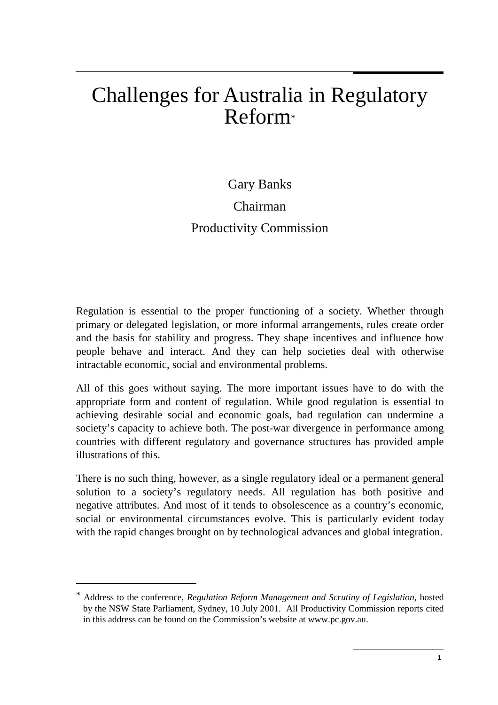# Challenges for Australia in Regulatory  $Reform*$

## Gary Banks Chairman Productivity Commission

Regulation is essential to the proper functioning of a society. Whether through primary or delegated legislation, or more informal arrangements, rules create order and the basis for stability and progress. They shape incentives and influence how people behave and interact. And they can help societies deal with otherwise intractable economic, social and environmental problems.

All of this goes without saying. The more important issues have to do with the appropriate form and content of regulation. While good regulation is essential to achieving desirable social and economic goals, bad regulation can undermine a society's capacity to achieve both. The post-war divergence in performance among countries with different regulatory and governance structures has provided ample illustrations of this.

There is no such thing, however, as a single regulatory ideal or a permanent general solution to a society's regulatory needs. All regulation has both positive and negative attributes. And most of it tends to obsolescence as a country's economic, social or environmental circumstances evolve. This is particularly evident today with the rapid changes brought on by technological advances and global integration.

 $\overline{a}$ 

<sup>\*</sup> Address to the conference, *Regulation Reform Management and Scrutiny of Legislation,* hosted by the NSW State Parliament, Sydney, 10 July 2001. All Productivity Commission reports cited in this address can be found on the Commission's website at www.pc.gov.au.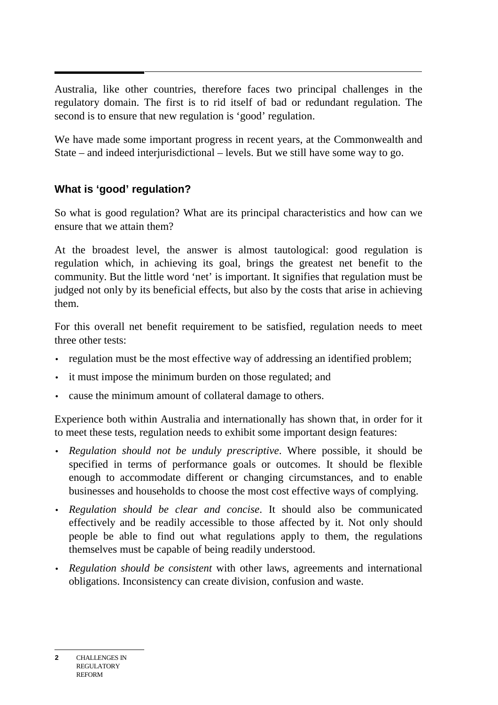Australia, like other countries, therefore faces two principal challenges in the regulatory domain. The first is to rid itself of bad or redundant regulation. The second is to ensure that new regulation is 'good' regulation.

We have made some important progress in recent years, at the Commonwealth and State – and indeed interjurisdictional – levels. But we still have some way to go.

### **What is 'good' regulation?**

So what is good regulation? What are its principal characteristics and how can we ensure that we attain them?

At the broadest level, the answer is almost tautological: good regulation is regulation which, in achieving its goal, brings the greatest net benefit to the community. But the little word 'net' is important. It signifies that regulation must be judged not only by its beneficial effects, but also by the costs that arise in achieving them.

For this overall net benefit requirement to be satisfied, regulation needs to meet three other tests:

- regulation must be the most effective way of addressing an identified problem;
- it must impose the minimum burden on those regulated; and
- cause the minimum amount of collateral damage to others.

Experience both within Australia and internationally has shown that, in order for it to meet these tests, regulation needs to exhibit some important design features:

- *Regulation should not be unduly prescriptive*. Where possible, it should be specified in terms of performance goals or outcomes. It should be flexible enough to accommodate different or changing circumstances, and to enable businesses and households to choose the most cost effective ways of complying.
- *Regulation should be clear and concise*. It should also be communicated effectively and be readily accessible to those affected by it. Not only should people be able to find out what regulations apply to them, the regulations themselves must be capable of being readily understood.
- *Regulation should be consistent* with other laws, agreements and international obligations. Inconsistency can create division, confusion and waste.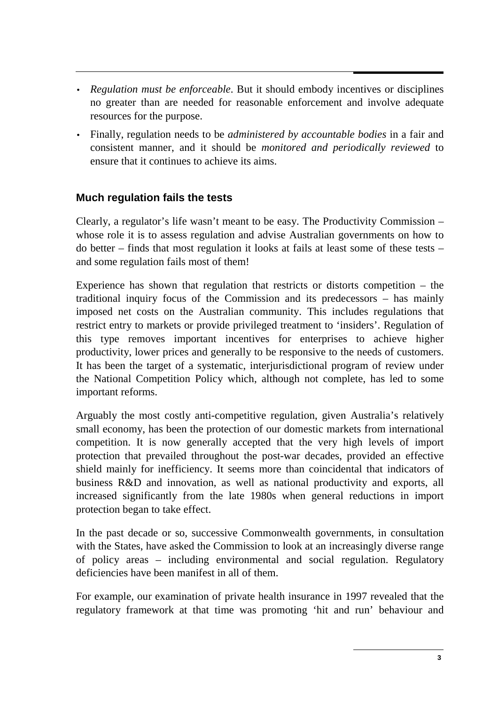- *Regulation must be enforceable*. But it should embody incentives or disciplines no greater than are needed for reasonable enforcement and involve adequate resources for the purpose.
- Finally, regulation needs to be *administered by accountable bodies* in a fair and consistent manner, and it should be *monitored and periodically reviewed* to ensure that it continues to achieve its aims.

#### **Much regulation fails the tests**

Clearly, a regulator's life wasn't meant to be easy. The Productivity Commission – whose role it is to assess regulation and advise Australian governments on how to do better – finds that most regulation it looks at fails at least some of these tests – and some regulation fails most of them!

Experience has shown that regulation that restricts or distorts competition – the traditional inquiry focus of the Commission and its predecessors – has mainly imposed net costs on the Australian community. This includes regulations that restrict entry to markets or provide privileged treatment to 'insiders'. Regulation of this type removes important incentives for enterprises to achieve higher productivity, lower prices and generally to be responsive to the needs of customers. It has been the target of a systematic, interjurisdictional program of review under the National Competition Policy which, although not complete, has led to some important reforms.

Arguably the most costly anti-competitive regulation, given Australia's relatively small economy, has been the protection of our domestic markets from international competition. It is now generally accepted that the very high levels of import protection that prevailed throughout the post-war decades, provided an effective shield mainly for inefficiency. It seems more than coincidental that indicators of business R&D and innovation, as well as national productivity and exports, all increased significantly from the late 1980s when general reductions in import protection began to take effect.

In the past decade or so, successive Commonwealth governments, in consultation with the States, have asked the Commission to look at an increasingly diverse range of policy areas – including environmental and social regulation. Regulatory deficiencies have been manifest in all of them.

For example, our examination of private health insurance in 1997 revealed that the regulatory framework at that time was promoting 'hit and run' behaviour and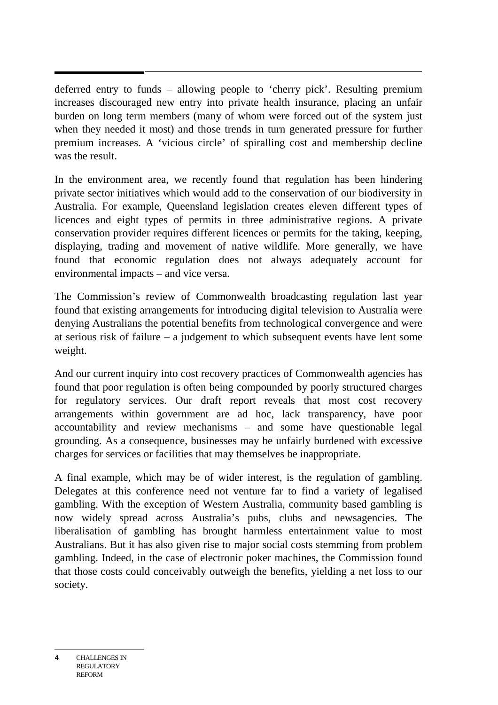deferred entry to funds – allowing people to 'cherry pick'. Resulting premium increases discouraged new entry into private health insurance, placing an unfair burden on long term members (many of whom were forced out of the system just when they needed it most) and those trends in turn generated pressure for further premium increases. A 'vicious circle' of spiralling cost and membership decline was the result.

In the environment area, we recently found that regulation has been hindering private sector initiatives which would add to the conservation of our biodiversity in Australia. For example, Queensland legislation creates eleven different types of licences and eight types of permits in three administrative regions. A private conservation provider requires different licences or permits for the taking, keeping, displaying, trading and movement of native wildlife. More generally, we have found that economic regulation does not always adequately account for environmental impacts – and vice versa.

The Commission's review of Commonwealth broadcasting regulation last year found that existing arrangements for introducing digital television to Australia were denying Australians the potential benefits from technological convergence and were at serious risk of failure – a judgement to which subsequent events have lent some weight.

And our current inquiry into cost recovery practices of Commonwealth agencies has found that poor regulation is often being compounded by poorly structured charges for regulatory services. Our draft report reveals that most cost recovery arrangements within government are ad hoc, lack transparency, have poor accountability and review mechanisms – and some have questionable legal grounding. As a consequence, businesses may be unfairly burdened with excessive charges for services or facilities that may themselves be inappropriate.

A final example, which may be of wider interest, is the regulation of gambling. Delegates at this conference need not venture far to find a variety of legalised gambling. With the exception of Western Australia, community based gambling is now widely spread across Australia's pubs, clubs and newsagencies. The liberalisation of gambling has brought harmless entertainment value to most Australians. But it has also given rise to major social costs stemming from problem gambling. Indeed, in the case of electronic poker machines, the Commission found that those costs could conceivably outweigh the benefits, yielding a net loss to our society.

**4** CHALLENGES IN REGULATORY REFORM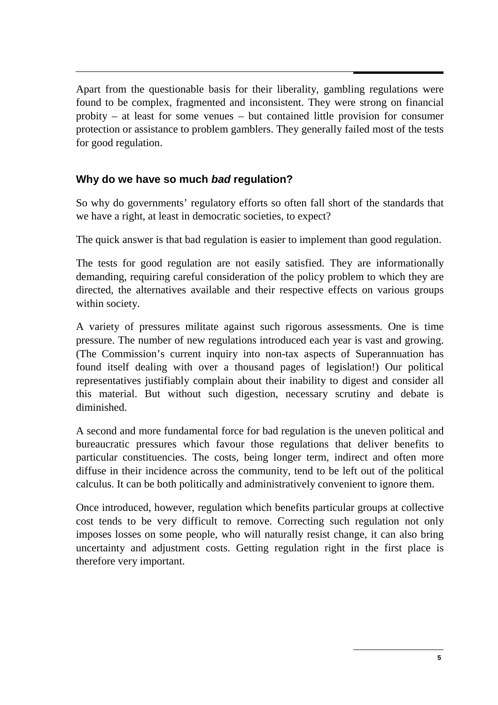Apart from the questionable basis for their liberality, gambling regulations were found to be complex, fragmented and inconsistent. They were strong on financial probity – at least for some venues – but contained little provision for consumer protection or assistance to problem gamblers. They generally failed most of the tests for good regulation.

#### **Why do we have so much bad regulation?**

So why do governments' regulatory efforts so often fall short of the standards that we have a right, at least in democratic societies, to expect?

The quick answer is that bad regulation is easier to implement than good regulation.

The tests for good regulation are not easily satisfied. They are informationally demanding, requiring careful consideration of the policy problem to which they are directed, the alternatives available and their respective effects on various groups within society.

A variety of pressures militate against such rigorous assessments. One is time pressure. The number of new regulations introduced each year is vast and growing. (The Commission's current inquiry into non-tax aspects of Superannuation has found itself dealing with over a thousand pages of legislation!) Our political representatives justifiably complain about their inability to digest and consider all this material. But without such digestion, necessary scrutiny and debate is diminished.

A second and more fundamental force for bad regulation is the uneven political and bureaucratic pressures which favour those regulations that deliver benefits to particular constituencies. The costs, being longer term, indirect and often more diffuse in their incidence across the community, tend to be left out of the political calculus. It can be both politically and administratively convenient to ignore them.

Once introduced, however, regulation which benefits particular groups at collective cost tends to be very difficult to remove. Correcting such regulation not only imposes losses on some people, who will naturally resist change, it can also bring uncertainty and adjustment costs. Getting regulation right in the first place is therefore very important.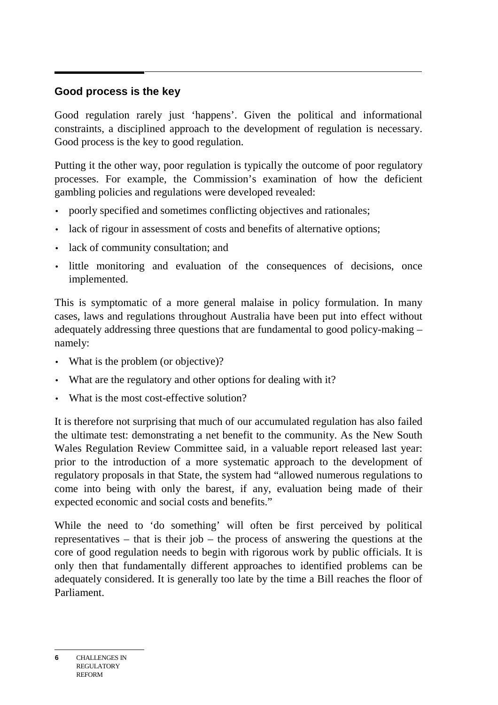#### **Good process is the key**

Good regulation rarely just 'happens'. Given the political and informational constraints, a disciplined approach to the development of regulation is necessary. Good process is the key to good regulation.

Putting it the other way, poor regulation is typically the outcome of poor regulatory processes. For example, the Commission's examination of how the deficient gambling policies and regulations were developed revealed:

- poorly specified and sometimes conflicting objectives and rationales;
- lack of rigour in assessment of costs and benefits of alternative options;
- lack of community consultation; and
- little monitoring and evaluation of the consequences of decisions, once implemented.

This is symptomatic of a more general malaise in policy formulation. In many cases, laws and regulations throughout Australia have been put into effect without adequately addressing three questions that are fundamental to good policy-making – namely:

- What is the problem (or objective)?
- What are the regulatory and other options for dealing with it?
- What is the most cost-effective solution?

It is therefore not surprising that much of our accumulated regulation has also failed the ultimate test: demonstrating a net benefit to the community. As the New South Wales Regulation Review Committee said, in a valuable report released last year: prior to the introduction of a more systematic approach to the development of regulatory proposals in that State, the system had "allowed numerous regulations to come into being with only the barest, if any, evaluation being made of their expected economic and social costs and benefits."

While the need to 'do something' will often be first perceived by political representatives – that is their job – the process of answering the questions at the core of good regulation needs to begin with rigorous work by public officials. It is only then that fundamentally different approaches to identified problems can be adequately considered. It is generally too late by the time a Bill reaches the floor of Parliament.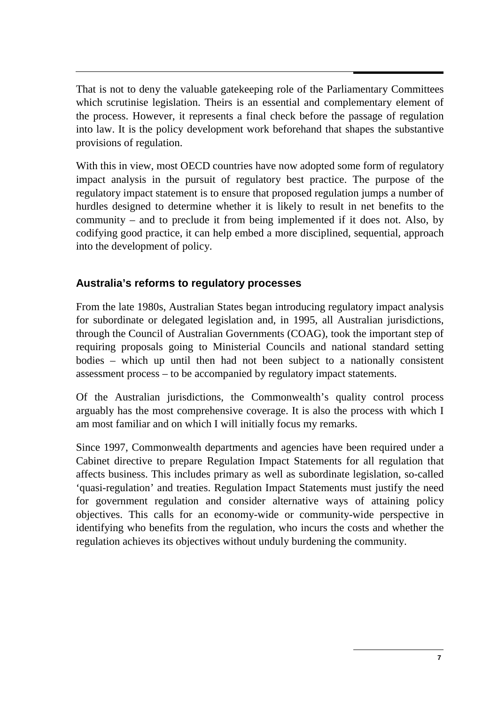That is not to deny the valuable gatekeeping role of the Parliamentary Committees which scrutinise legislation. Theirs is an essential and complementary element of the process. However, it represents a final check before the passage of regulation into law. It is the policy development work beforehand that shapes the substantive provisions of regulation.

With this in view, most OECD countries have now adopted some form of regulatory impact analysis in the pursuit of regulatory best practice. The purpose of the regulatory impact statement is to ensure that proposed regulation jumps a number of hurdles designed to determine whether it is likely to result in net benefits to the community – and to preclude it from being implemented if it does not. Also, by codifying good practice, it can help embed a more disciplined, sequential, approach into the development of policy.

#### **Australia's reforms to regulatory processes**

From the late 1980s, Australian States began introducing regulatory impact analysis for subordinate or delegated legislation and, in 1995, all Australian jurisdictions, through the Council of Australian Governments (COAG), took the important step of requiring proposals going to Ministerial Councils and national standard setting bodies – which up until then had not been subject to a nationally consistent assessment process – to be accompanied by regulatory impact statements.

Of the Australian jurisdictions, the Commonwealth's quality control process arguably has the most comprehensive coverage. It is also the process with which I am most familiar and on which I will initially focus my remarks.

Since 1997, Commonwealth departments and agencies have been required under a Cabinet directive to prepare Regulation Impact Statements for all regulation that affects business. This includes primary as well as subordinate legislation, so-called 'quasi-regulation' and treaties. Regulation Impact Statements must justify the need for government regulation and consider alternative ways of attaining policy objectives. This calls for an economy-wide or community-wide perspective in identifying who benefits from the regulation, who incurs the costs and whether the regulation achieves its objectives without unduly burdening the community.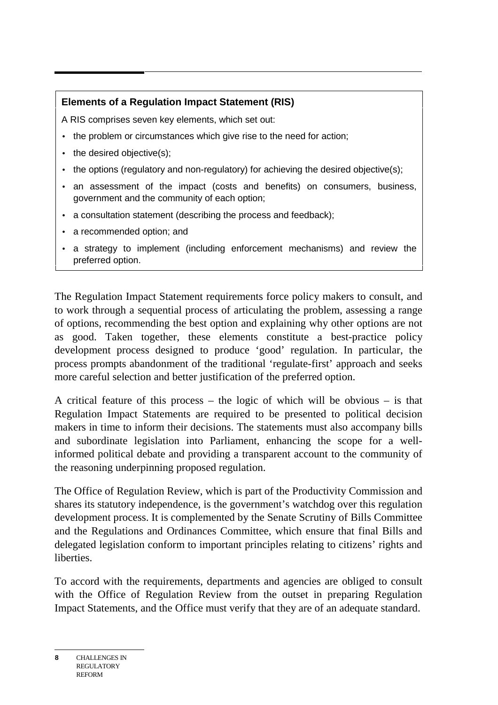#### **Elements of a Regulation Impact Statement (RIS)**

A RIS comprises seven key elements, which set out:

- the problem or circumstances which give rise to the need for action;
- the desired objective(s);
- the options (regulatory and non-regulatory) for achieving the desired objective(s);
- an assessment of the impact (costs and benefits) on consumers, business, government and the community of each option;
- a consultation statement (describing the process and feedback);
- a recommended option; and
- a strategy to implement (including enforcement mechanisms) and review the preferred option.

The Regulation Impact Statement requirements force policy makers to consult, and to work through a sequential process of articulating the problem, assessing a range of options, recommending the best option and explaining why other options are not as good. Taken together, these elements constitute a best-practice policy development process designed to produce 'good' regulation. In particular, the process prompts abandonment of the traditional 'regulate-first' approach and seeks more careful selection and better justification of the preferred option.

A critical feature of this process – the logic of which will be obvious – is that Regulation Impact Statements are required to be presented to political decision makers in time to inform their decisions. The statements must also accompany bills and subordinate legislation into Parliament, enhancing the scope for a wellinformed political debate and providing a transparent account to the community of the reasoning underpinning proposed regulation.

The Office of Regulation Review, which is part of the Productivity Commission and shares its statutory independence, is the government's watchdog over this regulation development process. It is complemented by the Senate Scrutiny of Bills Committee and the Regulations and Ordinances Committee, which ensure that final Bills and delegated legislation conform to important principles relating to citizens' rights and **liberties** 

To accord with the requirements, departments and agencies are obliged to consult with the Office of Regulation Review from the outset in preparing Regulation Impact Statements, and the Office must verify that they are of an adequate standard.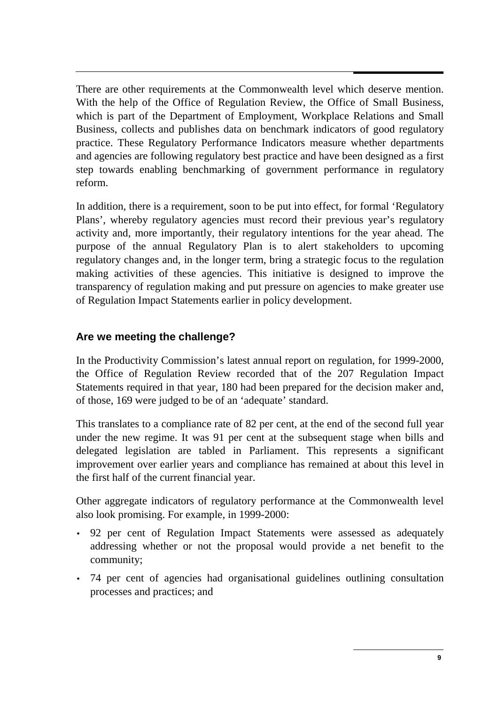There are other requirements at the Commonwealth level which deserve mention. With the help of the Office of Regulation Review, the Office of Small Business, which is part of the Department of Employment, Workplace Relations and Small Business, collects and publishes data on benchmark indicators of good regulatory practice. These Regulatory Performance Indicators measure whether departments and agencies are following regulatory best practice and have been designed as a first step towards enabling benchmarking of government performance in regulatory reform.

In addition, there is a requirement, soon to be put into effect, for formal 'Regulatory Plans', whereby regulatory agencies must record their previous year's regulatory activity and, more importantly, their regulatory intentions for the year ahead. The purpose of the annual Regulatory Plan is to alert stakeholders to upcoming regulatory changes and, in the longer term, bring a strategic focus to the regulation making activities of these agencies. This initiative is designed to improve the transparency of regulation making and put pressure on agencies to make greater use of Regulation Impact Statements earlier in policy development.

#### **Are we meeting the challenge?**

In the Productivity Commission's latest annual report on regulation, for 1999-2000, the Office of Regulation Review recorded that of the 207 Regulation Impact Statements required in that year, 180 had been prepared for the decision maker and, of those, 169 were judged to be of an 'adequate' standard.

This translates to a compliance rate of 82 per cent, at the end of the second full year under the new regime. It was 91 per cent at the subsequent stage when bills and delegated legislation are tabled in Parliament. This represents a significant improvement over earlier years and compliance has remained at about this level in the first half of the current financial year.

Other aggregate indicators of regulatory performance at the Commonwealth level also look promising. For example, in 1999-2000:

- 92 per cent of Regulation Impact Statements were assessed as adequately addressing whether or not the proposal would provide a net benefit to the community;
- 74 per cent of agencies had organisational guidelines outlining consultation processes and practices; and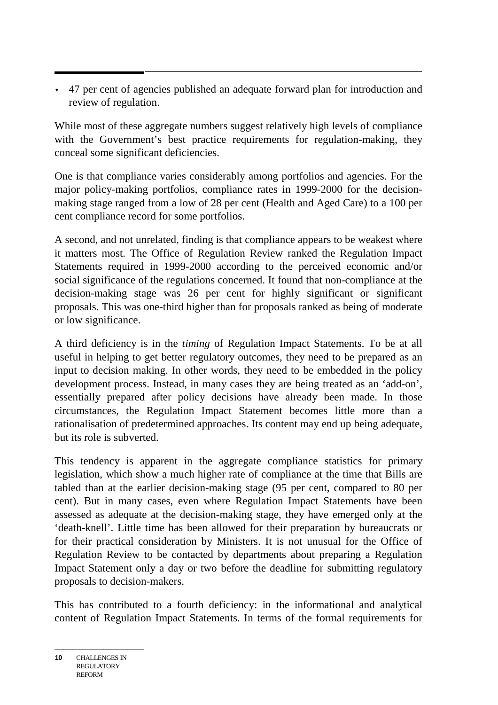• 47 per cent of agencies published an adequate forward plan for introduction and review of regulation.

While most of these aggregate numbers suggest relatively high levels of compliance with the Government's best practice requirements for regulation-making, they conceal some significant deficiencies.

One is that compliance varies considerably among portfolios and agencies. For the major policy-making portfolios, compliance rates in 1999-2000 for the decisionmaking stage ranged from a low of 28 per cent (Health and Aged Care) to a 100 per cent compliance record for some portfolios.

A second, and not unrelated, finding is that compliance appears to be weakest where it matters most. The Office of Regulation Review ranked the Regulation Impact Statements required in 1999-2000 according to the perceived economic and/or social significance of the regulations concerned. It found that non-compliance at the decision-making stage was 26 per cent for highly significant or significant proposals. This was one-third higher than for proposals ranked as being of moderate or low significance.

A third deficiency is in the *timing* of Regulation Impact Statements. To be at all useful in helping to get better regulatory outcomes, they need to be prepared as an input to decision making. In other words, they need to be embedded in the policy development process. Instead, in many cases they are being treated as an 'add-on', essentially prepared after policy decisions have already been made. In those circumstances, the Regulation Impact Statement becomes little more than a rationalisation of predetermined approaches. Its content may end up being adequate, but its role is subverted.

This tendency is apparent in the aggregate compliance statistics for primary legislation, which show a much higher rate of compliance at the time that Bills are tabled than at the earlier decision-making stage (95 per cent, compared to 80 per cent). But in many cases, even where Regulation Impact Statements have been assessed as adequate at the decision-making stage, they have emerged only at the 'death-knell'. Little time has been allowed for their preparation by bureaucrats or for their practical consideration by Ministers. It is not unusual for the Office of Regulation Review to be contacted by departments about preparing a Regulation Impact Statement only a day or two before the deadline for submitting regulatory proposals to decision-makers.

This has contributed to a fourth deficiency: in the informational and analytical content of Regulation Impact Statements. In terms of the formal requirements for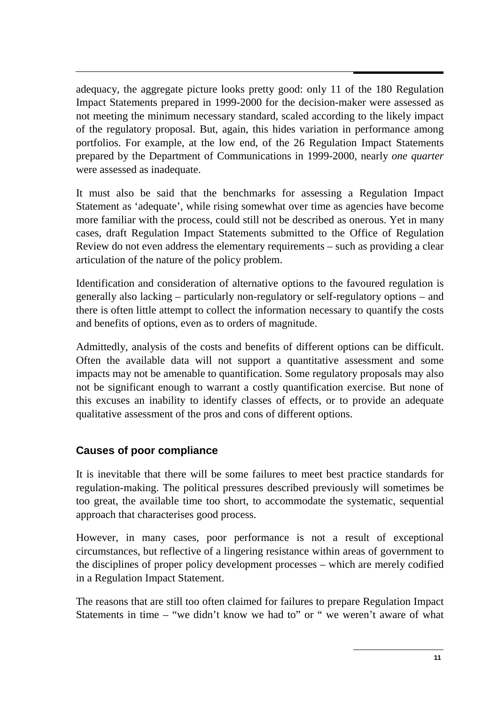adequacy, the aggregate picture looks pretty good: only 11 of the 180 Regulation Impact Statements prepared in 1999-2000 for the decision-maker were assessed as not meeting the minimum necessary standard, scaled according to the likely impact of the regulatory proposal. But, again, this hides variation in performance among portfolios. For example, at the low end, of the 26 Regulation Impact Statements prepared by the Department of Communications in 1999-2000, nearly *one quarter* were assessed as inadequate.

It must also be said that the benchmarks for assessing a Regulation Impact Statement as 'adequate', while rising somewhat over time as agencies have become more familiar with the process, could still not be described as onerous. Yet in many cases, draft Regulation Impact Statements submitted to the Office of Regulation Review do not even address the elementary requirements – such as providing a clear articulation of the nature of the policy problem.

Identification and consideration of alternative options to the favoured regulation is generally also lacking – particularly non-regulatory or self-regulatory options – and there is often little attempt to collect the information necessary to quantify the costs and benefits of options, even as to orders of magnitude.

Admittedly, analysis of the costs and benefits of different options can be difficult. Often the available data will not support a quantitative assessment and some impacts may not be amenable to quantification. Some regulatory proposals may also not be significant enough to warrant a costly quantification exercise. But none of this excuses an inability to identify classes of effects, or to provide an adequate qualitative assessment of the pros and cons of different options.

#### **Causes of poor compliance**

It is inevitable that there will be some failures to meet best practice standards for regulation-making. The political pressures described previously will sometimes be too great, the available time too short, to accommodate the systematic, sequential approach that characterises good process.

However, in many cases, poor performance is not a result of exceptional circumstances, but reflective of a lingering resistance within areas of government to the disciplines of proper policy development processes – which are merely codified in a Regulation Impact Statement.

The reasons that are still too often claimed for failures to prepare Regulation Impact Statements in time – "we didn't know we had to" or " we weren't aware of what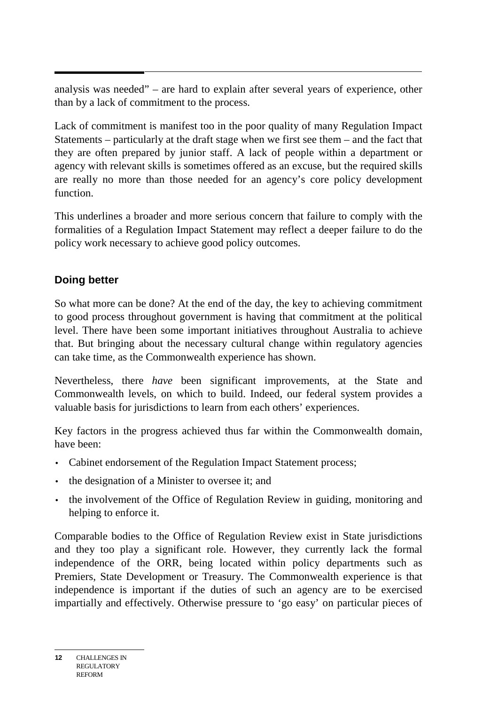analysis was needed" – are hard to explain after several years of experience, other than by a lack of commitment to the process.

Lack of commitment is manifest too in the poor quality of many Regulation Impact Statements – particularly at the draft stage when we first see them – and the fact that they are often prepared by junior staff. A lack of people within a department or agency with relevant skills is sometimes offered as an excuse, but the required skills are really no more than those needed for an agency's core policy development function.

This underlines a broader and more serious concern that failure to comply with the formalities of a Regulation Impact Statement may reflect a deeper failure to do the policy work necessary to achieve good policy outcomes.

### **Doing better**

So what more can be done? At the end of the day, the key to achieving commitment to good process throughout government is having that commitment at the political level. There have been some important initiatives throughout Australia to achieve that. But bringing about the necessary cultural change within regulatory agencies can take time, as the Commonwealth experience has shown.

Nevertheless, there *have* been significant improvements, at the State and Commonwealth levels, on which to build. Indeed, our federal system provides a valuable basis for jurisdictions to learn from each others' experiences.

Key factors in the progress achieved thus far within the Commonwealth domain, have been:

- Cabinet endorsement of the Regulation Impact Statement process;
- the designation of a Minister to oversee it; and
- the involvement of the Office of Regulation Review in guiding, monitoring and helping to enforce it.

Comparable bodies to the Office of Regulation Review exist in State jurisdictions and they too play a significant role. However, they currently lack the formal independence of the ORR, being located within policy departments such as Premiers, State Development or Treasury. The Commonwealth experience is that independence is important if the duties of such an agency are to be exercised impartially and effectively. Otherwise pressure to 'go easy' on particular pieces of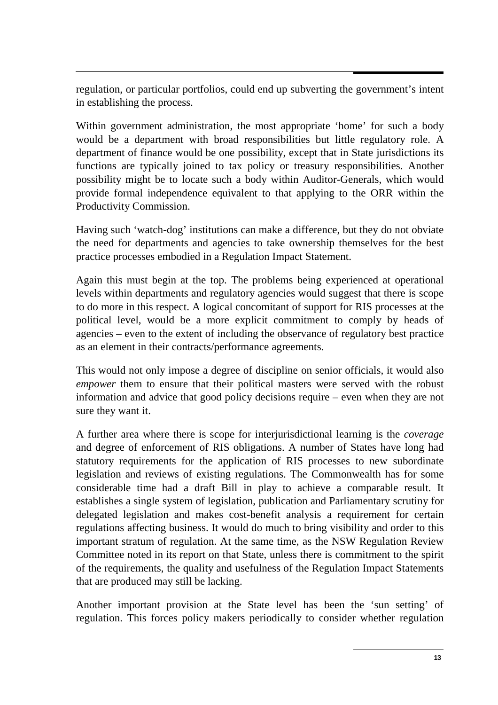regulation, or particular portfolios, could end up subverting the government's intent in establishing the process.

Within government administration, the most appropriate 'home' for such a body would be a department with broad responsibilities but little regulatory role. A department of finance would be one possibility, except that in State jurisdictions its functions are typically joined to tax policy or treasury responsibilities. Another possibility might be to locate such a body within Auditor-Generals, which would provide formal independence equivalent to that applying to the ORR within the Productivity Commission.

Having such 'watch-dog' institutions can make a difference, but they do not obviate the need for departments and agencies to take ownership themselves for the best practice processes embodied in a Regulation Impact Statement.

Again this must begin at the top. The problems being experienced at operational levels within departments and regulatory agencies would suggest that there is scope to do more in this respect. A logical concomitant of support for RIS processes at the political level, would be a more explicit commitment to comply by heads of agencies – even to the extent of including the observance of regulatory best practice as an element in their contracts/performance agreements.

This would not only impose a degree of discipline on senior officials, it would also *empower* them to ensure that their political masters were served with the robust information and advice that good policy decisions require – even when they are not sure they want it.

A further area where there is scope for interjurisdictional learning is the *coverage* and degree of enforcement of RIS obligations. A number of States have long had statutory requirements for the application of RIS processes to new subordinate legislation and reviews of existing regulations. The Commonwealth has for some considerable time had a draft Bill in play to achieve a comparable result. It establishes a single system of legislation, publication and Parliamentary scrutiny for delegated legislation and makes cost-benefit analysis a requirement for certain regulations affecting business. It would do much to bring visibility and order to this important stratum of regulation. At the same time, as the NSW Regulation Review Committee noted in its report on that State, unless there is commitment to the spirit of the requirements, the quality and usefulness of the Regulation Impact Statements that are produced may still be lacking.

Another important provision at the State level has been the 'sun setting' of regulation. This forces policy makers periodically to consider whether regulation